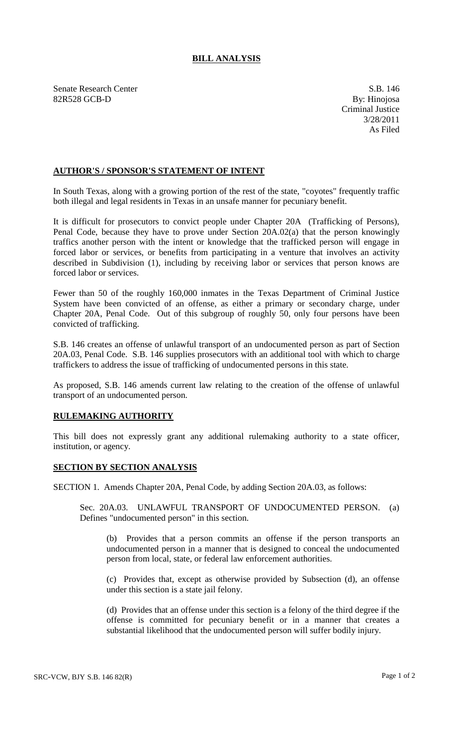## **BILL ANALYSIS**

Senate Research Center S.B. 146 82R528 GCB-D By: Hinojosa

Criminal Justice 3/28/2011 As Filed

## **AUTHOR'S / SPONSOR'S STATEMENT OF INTENT**

In South Texas, along with a growing portion of the rest of the state, "coyotes" frequently traffic both illegal and legal residents in Texas in an unsafe manner for pecuniary benefit.

It is difficult for prosecutors to convict people under Chapter 20A (Trafficking of Persons), Penal Code, because they have to prove under Section 20A.02(a) that the person knowingly traffics another person with the intent or knowledge that the trafficked person will engage in forced labor or services, or benefits from participating in a venture that involves an activity described in Subdivision (1), including by receiving labor or services that person knows are forced labor or services.

Fewer than 50 of the roughly 160,000 inmates in the Texas Department of Criminal Justice System have been convicted of an offense, as either a primary or secondary charge, under Chapter 20A, Penal Code. Out of this subgroup of roughly 50, only four persons have been convicted of trafficking.

S.B. 146 creates an offense of unlawful transport of an undocumented person as part of Section 20A.03, Penal Code. S.B. 146 supplies prosecutors with an additional tool with which to charge traffickers to address the issue of trafficking of undocumented persons in this state.

As proposed, S.B. 146 amends current law relating to the creation of the offense of unlawful transport of an undocumented person.

## **RULEMAKING AUTHORITY**

This bill does not expressly grant any additional rulemaking authority to a state officer, institution, or agency.

## **SECTION BY SECTION ANALYSIS**

SECTION 1. Amends Chapter 20A, Penal Code, by adding Section 20A.03, as follows:

Sec. 20A.03. UNLAWFUL TRANSPORT OF UNDOCUMENTED PERSON. (a) Defines "undocumented person" in this section.

(b) Provides that a person commits an offense if the person transports an undocumented person in a manner that is designed to conceal the undocumented person from local, state, or federal law enforcement authorities.

(c) Provides that, except as otherwise provided by Subsection (d), an offense under this section is a state jail felony.

(d) Provides that an offense under this section is a felony of the third degree if the offense is committed for pecuniary benefit or in a manner that creates a substantial likelihood that the undocumented person will suffer bodily injury.